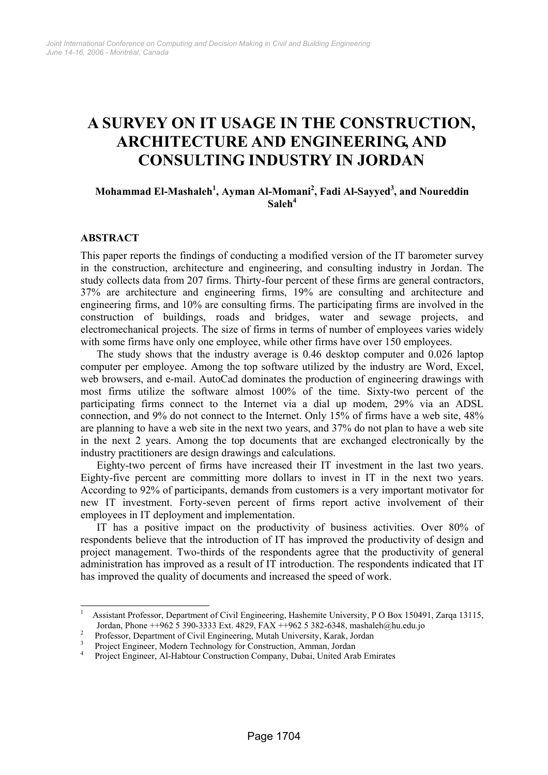# **A SURVEY ON IT USAGE IN THE CONSTRUCTION, ARCHITECTURE AND ENGINEERING, AND CONSULTING INDUSTRY IN JORDAN**

## **Mohammad El-Mashaleh<sup>1</sup> , Ayman Al-Momani<sup>2</sup> , Fadi Al-Sayyed3 , and Noureddin**   $\mathbf{Saleh}^4$

#### **ABSTRACT**

 $\overline{a}$ 

This paper reports the findings of conducting a modified version of the IT barometer survey in the construction, architecture and engineering, and consulting industry in Jordan. The study collects data from 207 firms. Thirty-four percent of these firms are general contractors, 37% are architecture and engineering firms, 19% are consulting and architecture and engineering firms, and 10% are consulting firms. The participating firms are involved in the construction of buildings, roads and bridges, water and sewage projects, and electromechanical projects. The size of firms in terms of number of employees varies widely with some firms have only one employee, while other firms have over 150 employees.

The study shows that the industry average is 0.46 desktop computer and 0.026 laptop computer per employee. Among the top software utilized by the industry are Word, Excel, web browsers, and e-mail. AutoCad dominates the production of engineering drawings with most firms utilize the software almost 100% of the time. Sixty-two percent of the participating firms connect to the Internet via a dial up modem, 29% via an ADSL connection, and 9% do not connect to the Internet. Only 15% of firms have a web site, 48% are planning to have a web site in the next two years, and 37% do not plan to have a web site in the next 2 years. Among the top documents that are exchanged electronically by the industry practitioners are design drawings and calculations.

Eighty-two percent of firms have increased their IT investment in the last two years. Eighty-five percent are committing more dollars to invest in IT in the next two years. According to 92% of participants, demands from customers is a very important motivator for new IT investment. Forty-seven percent of firms report active involvement of their employees in IT deployment and implementation.

IT has a positive impact on the productivity of business activities. Over 80% of respondents believe that the introduction of IT has improved the productivity of design and project management. Two-thirds of the respondents agree that the productivity of general administration has improved as a result of IT introduction. The respondents indicated that IT has improved the quality of documents and increased the speed of work.

<sup>1</sup> Assistant Professor, Department of Civil Engineering, Hashemite University, P O Box 150491, Zarqa 13115, Jordan, Phone ++962 5 390-3333 Ext. 4829, FAX ++962 5 382-6348, mashaleh@hu.edu.jo 2

Professor, Department of Civil Engineering, Mutah University, Karak, Jordan

<sup>&</sup>lt;sup>3</sup> Project Engineer, Modern Technology for Construction, Amman, Jordan

<sup>4</sup> Project Engineer, Al-Habtour Construction Company, Dubai, United Arab Emirates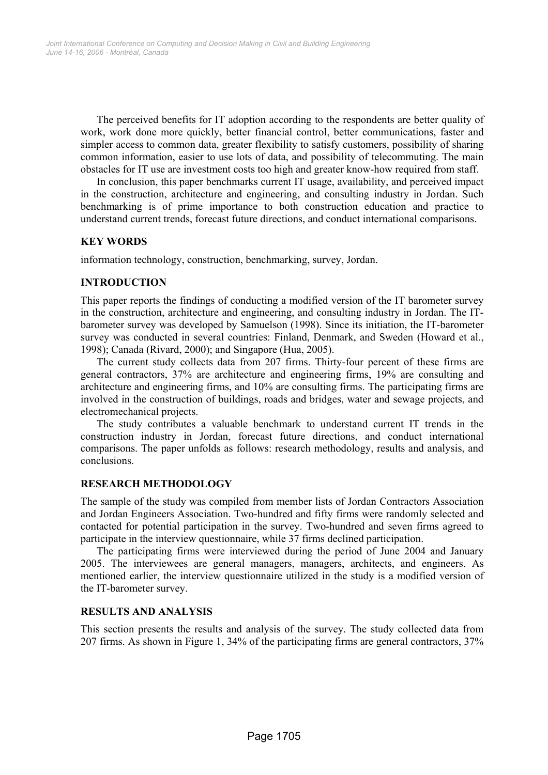The perceived benefits for IT adoption according to the respondents are better quality of work, work done more quickly, better financial control, better communications, faster and simpler access to common data, greater flexibility to satisfy customers, possibility of sharing common information, easier to use lots of data, and possibility of telecommuting. The main obstacles for IT use are investment costs too high and greater know-how required from staff.

In conclusion, this paper benchmarks current IT usage, availability, and perceived impact in the construction, architecture and engineering, and consulting industry in Jordan. Such benchmarking is of prime importance to both construction education and practice to understand current trends, forecast future directions, and conduct international comparisons.

#### **KEY WORDS**

information technology, construction, benchmarking, survey, Jordan.

#### **INTRODUCTION**

This paper reports the findings of conducting a modified version of the IT barometer survey in the construction, architecture and engineering, and consulting industry in Jordan. The ITbarometer survey was developed by Samuelson (1998). Since its initiation, the IT-barometer survey was conducted in several countries: Finland, Denmark, and Sweden (Howard et al., 1998); Canada (Rivard, 2000); and Singapore (Hua, 2005).

The current study collects data from 207 firms. Thirty-four percent of these firms are general contractors, 37% are architecture and engineering firms, 19% are consulting and architecture and engineering firms, and 10% are consulting firms. The participating firms are involved in the construction of buildings, roads and bridges, water and sewage projects, and electromechanical projects.

The study contributes a valuable benchmark to understand current IT trends in the construction industry in Jordan, forecast future directions, and conduct international comparisons. The paper unfolds as follows: research methodology, results and analysis, and conclusions.

#### **RESEARCH METHODOLOGY**

The sample of the study was compiled from member lists of Jordan Contractors Association and Jordan Engineers Association. Two-hundred and fifty firms were randomly selected and contacted for potential participation in the survey. Two-hundred and seven firms agreed to participate in the interview questionnaire, while 37 firms declined participation.

The participating firms were interviewed during the period of June 2004 and January 2005. The interviewees are general managers, managers, architects, and engineers. As mentioned earlier, the interview questionnaire utilized in the study is a modified version of the IT-barometer survey.

#### **RESULTS AND ANALYSIS**

This section presents the results and analysis of the survey. The study collected data from 207 firms. As shown in Figure 1, 34% of the participating firms are general contractors, 37%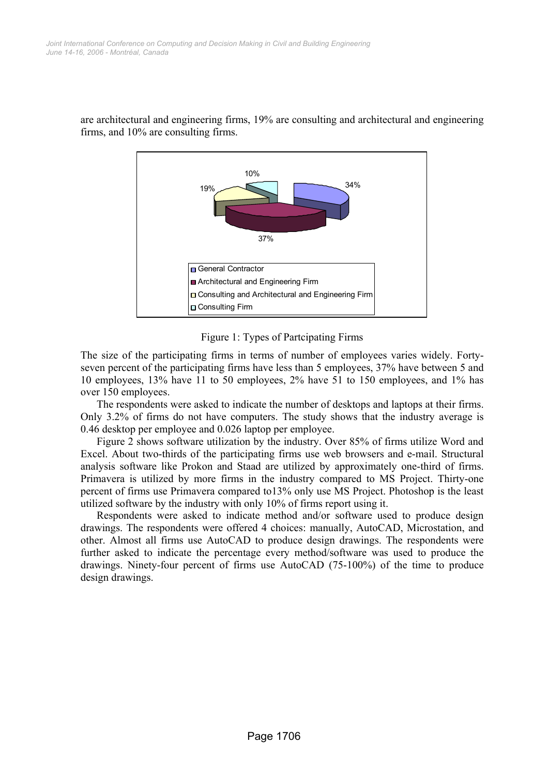

are architectural and engineering firms, 19% are consulting and architectural and engineering firms, and 10% are consulting firms.



The size of the participating firms in terms of number of employees varies widely. Fortyseven percent of the participating firms have less than 5 employees, 37% have between 5 and 10 employees, 13% have 11 to 50 employees, 2% have 51 to 150 employees, and 1% has over 150 employees.

The respondents were asked to indicate the number of desktops and laptops at their firms. Only 3.2% of firms do not have computers. The study shows that the industry average is 0.46 desktop per employee and 0.026 laptop per employee.

Figure 2 shows software utilization by the industry. Over 85% of firms utilize Word and Excel. About two-thirds of the participating firms use web browsers and e-mail. Structural analysis software like Prokon and Staad are utilized by approximately one-third of firms. Primavera is utilized by more firms in the industry compared to MS Project. Thirty-one percent of firms use Primavera compared to13% only use MS Project. Photoshop is the least utilized software by the industry with only 10% of firms report using it.

Respondents were asked to indicate method and/or software used to produce design drawings. The respondents were offered 4 choices: manually, AutoCAD, Microstation, and other. Almost all firms use AutoCAD to produce design drawings. The respondents were further asked to indicate the percentage every method/software was used to produce the drawings. Ninety-four percent of firms use AutoCAD (75-100%) of the time to produce design drawings.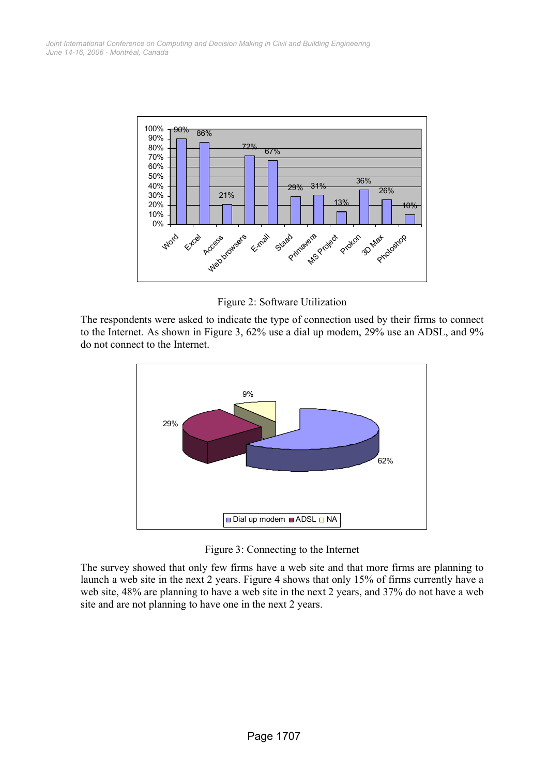

Figure 2: Software Utilization

The respondents were asked to indicate the type of connection used by their firms to connect to the Internet. As shown in Figure 3, 62% use a dial up modem, 29% use an ADSL, and 9% do not connect to the Internet.



Figure 3: Connecting to the Internet

The survey showed that only few firms have a web site and that more firms are planning to launch a web site in the next 2 years. Figure 4 shows that only 15% of firms currently have a web site, 48% are planning to have a web site in the next 2 years, and 37% do not have a web site and are not planning to have one in the next 2 years.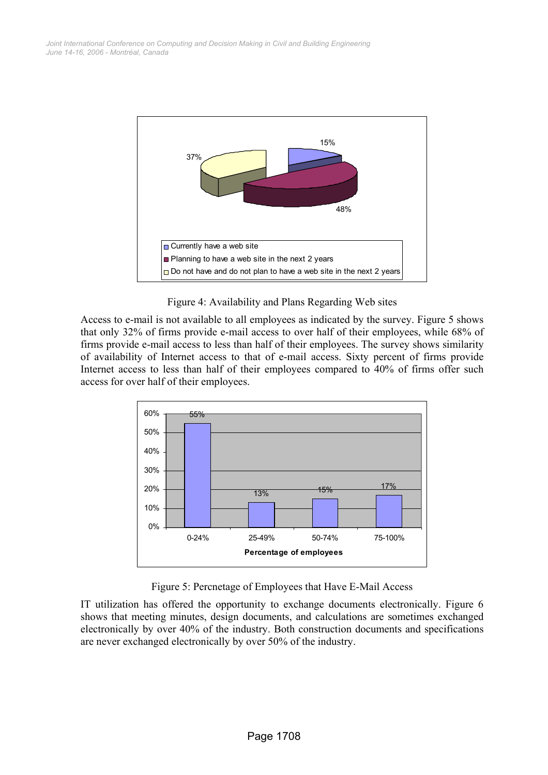

Figure 4: Availability and Plans Regarding Web sites

Access to e-mail is not available to all employees as indicated by the survey. Figure 5 shows that only 32% of firms provide e-mail access to over half of their employees, while 68% of firms provide e-mail access to less than half of their employees. The survey shows similarity of availability of Internet access to that of e-mail access. Sixty percent of firms provide Internet access to less than half of their employees compared to 40% of firms offer such access for over half of their employees.



Figure 5: Percnetage of Employees that Have E-Mail Access

IT utilization has offered the opportunity to exchange documents electronically. Figure 6 shows that meeting minutes, design documents, and calculations are sometimes exchanged electronically by over 40% of the industry. Both construction documents and specifications are never exchanged electronically by over 50% of the industry.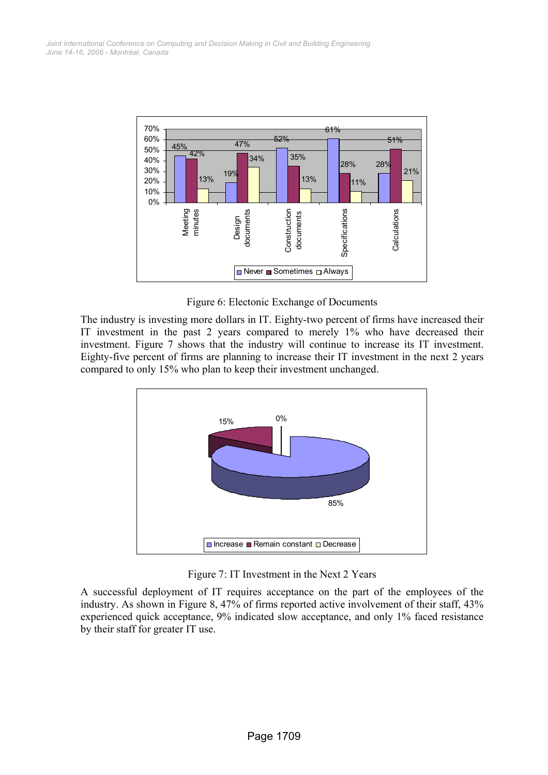

Figure 6: Electonic Exchange of Documents

The industry is investing more dollars in IT. Eighty-two percent of firms have increased their IT investment in the past 2 years compared to merely 1% who have decreased their investment. Figure 7 shows that the industry will continue to increase its IT investment. Eighty-five percent of firms are planning to increase their IT investment in the next 2 years compared to only 15% who plan to keep their investment unchanged.



Figure 7: IT Investment in the Next 2 Years

A successful deployment of IT requires acceptance on the part of the employees of the industry. As shown in Figure 8, 47% of firms reported active involvement of their staff, 43% experienced quick acceptance, 9% indicated slow acceptance, and only 1% faced resistance by their staff for greater IT use.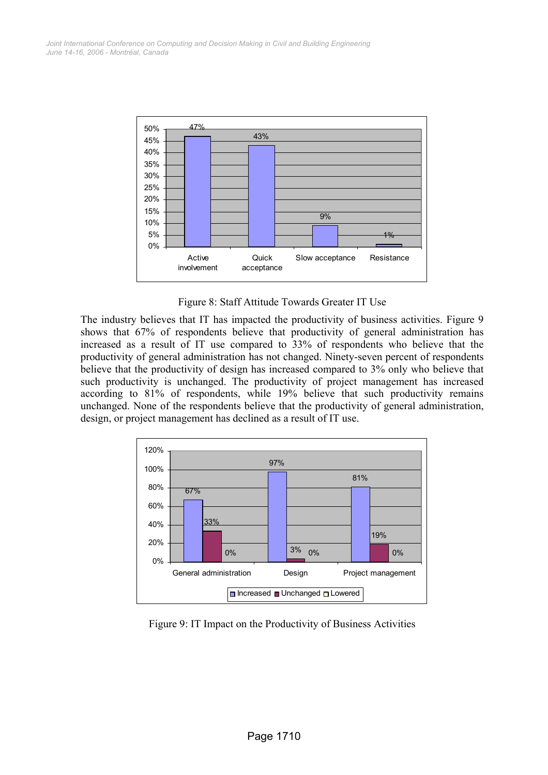

Figure 8: Staff Attitude Towards Greater IT Use

The industry believes that IT has impacted the productivity of business activities. Figure 9 shows that 67% of respondents believe that productivity of general administration has increased as a result of IT use compared to 33% of respondents who believe that the productivity of general administration has not changed. Ninety-seven percent of respondents believe that the productivity of design has increased compared to 3% only who believe that such productivity is unchanged. The productivity of project management has increased according to 81% of respondents, while 19% believe that such productivity remains unchanged. None of the respondents believe that the productivity of general administration, design, or project management has declined as a result of IT use.



Figure 9: IT Impact on the Productivity of Business Activities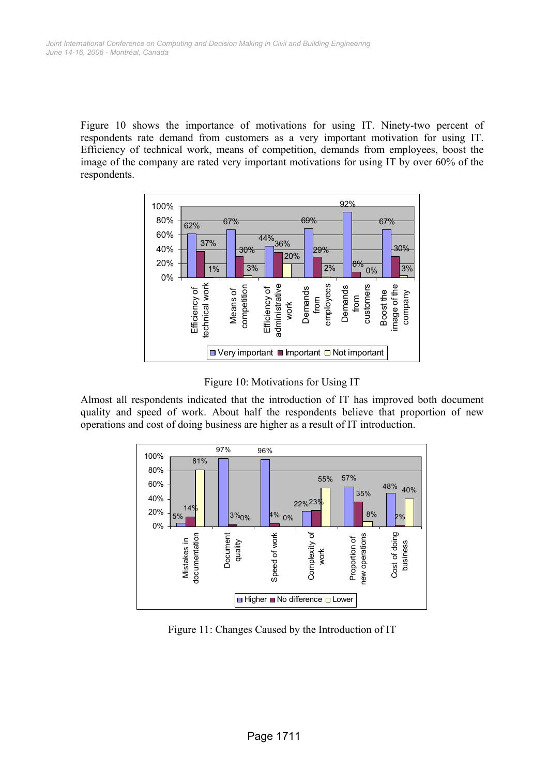Figure 10 shows the importance of motivations for using IT. Ninety-two percent of respondents rate demand from customers as a very important motivation for using IT. Efficiency of technical work, means of competition, demands from employees, boost the image of the company are rated very important motivations for using IT by over 60% of the respondents.



Figure 10: Motivations for Using IT

Almost all respondents indicated that the introduction of IT has improved both document quality and speed of work. About half the respondents believe that proportion of new operations and cost of doing business are higher as a result of IT introduction.



Figure 11: Changes Caused by the Introduction of IT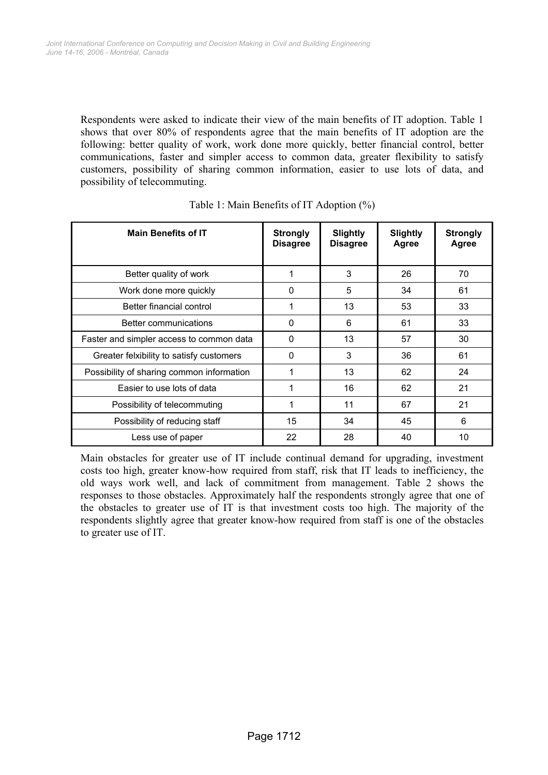Respondents were asked to indicate their view of the main benefits of IT adoption. Table 1 shows that over 80% of respondents agree that the main benefits of IT adoption are the following: better quality of work, work done more quickly, better financial control, better communications, faster and simpler access to common data, greater flexibility to satisfy customers, possibility of sharing common information, easier to use lots of data, and possibility of telecommuting.

| <b>Main Benefits of IT</b>                | <b>Strongly</b><br><b>Disagree</b> | <b>Slightly</b><br><b>Disagree</b> | <b>Slightly</b><br><b>Agree</b> | <b>Strongly</b><br>Agree |
|-------------------------------------------|------------------------------------|------------------------------------|---------------------------------|--------------------------|
| Better quality of work                    | 1                                  | 3                                  | 26                              | 70                       |
| Work done more quickly                    | 0                                  | 5                                  | 34                              | 61                       |
| Better financial control                  | 1                                  | 13                                 | 53                              | 33                       |
| Better communications                     | 0                                  | 6                                  | 61                              | 33                       |
| Faster and simpler access to common data  | 0                                  | 13                                 | 57                              | 30                       |
| Greater felxibility to satisfy customers  | 0                                  | 3                                  | 36                              | 61                       |
| Possibility of sharing common information | 1                                  | 13                                 | 62                              | 24                       |
| Easier to use lots of data                | 1                                  | 16                                 | 62                              | 21                       |
| Possibility of telecommuting              | 1                                  | 11                                 | 67                              | 21                       |
| Possibility of reducing staff             | 15                                 | 34                                 | 45                              | 6                        |
| Less use of paper                         | 22                                 | 28                                 | 40                              | 10                       |

| Table 1: Main Benefits of IT Adoption (%) |  |
|-------------------------------------------|--|
|-------------------------------------------|--|

Main obstacles for greater use of IT include continual demand for upgrading, investment costs too high, greater know-how required from staff, risk that IT leads to inefficiency, the old ways work well, and lack of commitment from management. Table 2 shows the responses to those obstacles. Approximately half the respondents strongly agree that one of the obstacles to greater use of IT is that investment costs too high. The majority of the respondents slightly agree that greater know-how required from staff is one of the obstacles to greater use of IT.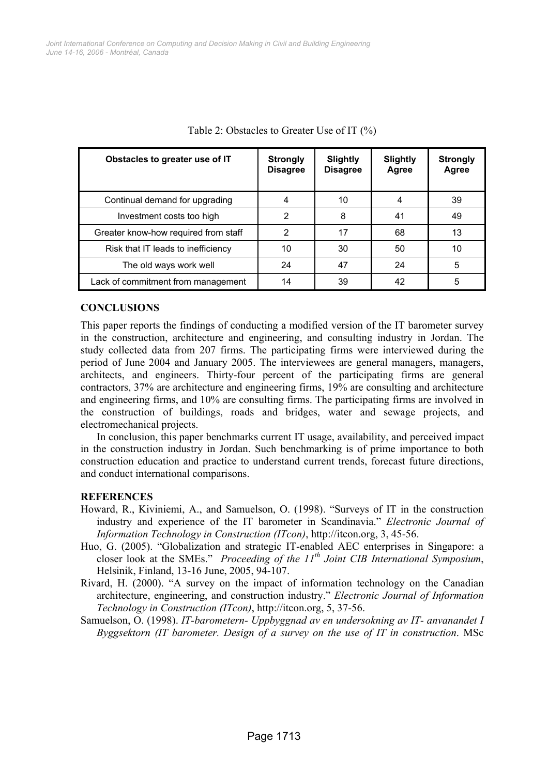| Obstacles to greater use of IT       | <b>Strongly</b><br><b>Disagree</b> | <b>Slightly</b><br><b>Disagree</b> | Slightly<br>Agree | <b>Strongly</b><br>Agree |
|--------------------------------------|------------------------------------|------------------------------------|-------------------|--------------------------|
| Continual demand for upgrading       | 4                                  | 10                                 | 4                 | 39                       |
| Investment costs too high            | 2                                  | 8                                  | 41                | 49                       |
| Greater know-how required from staff | 2                                  | 17                                 | 68                | 13                       |
| Risk that IT leads to inefficiency   | 10                                 | 30                                 | 50                | 10                       |
| The old ways work well               | 24                                 | 47                                 | 24                | 5                        |
| Lack of commitment from management   | 14                                 | 39                                 | 42                | 5                        |

Table 2: Obstacles to Greater Use of IT (%)

### **CONCLUSIONS**

This paper reports the findings of conducting a modified version of the IT barometer survey in the construction, architecture and engineering, and consulting industry in Jordan. The study collected data from 207 firms. The participating firms were interviewed during the period of June 2004 and January 2005. The interviewees are general managers, managers, architects, and engineers. Thirty-four percent of the participating firms are general contractors, 37% are architecture and engineering firms, 19% are consulting and architecture and engineering firms, and 10% are consulting firms. The participating firms are involved in the construction of buildings, roads and bridges, water and sewage projects, and electromechanical projects.

In conclusion, this paper benchmarks current IT usage, availability, and perceived impact in the construction industry in Jordan. Such benchmarking is of prime importance to both construction education and practice to understand current trends, forecast future directions, and conduct international comparisons.

#### **REFERENCES**

- Howard, R., Kiviniemi, A., and Samuelson, O. (1998). "Surveys of IT in the construction industry and experience of the IT barometer in Scandinavia." *Electronic Journal of Information Technology in Construction (ITcon)*, http://itcon.org, 3, 45-56.
- Huo, G. (2005). "Globalization and strategic IT-enabled AEC enterprises in Singapore: a closer look at the SMEs." *Proceeding of the 11th Joint CIB International Symposium*, Helsinik, Finland, 13-16 June, 2005, 94-107.
- Rivard, H. (2000). "A survey on the impact of information technology on the Canadian architecture, engineering, and construction industry." *Electronic Journal of Information Technology in Construction (ITcon)*, http://itcon.org, 5, 37-56.
- Samuelson, O. (1998). *IT-barometern- Uppbyggnad av en undersokning av IT- anvanandet I Byggsektorn (IT barometer. Design of a survey on the use of IT in construction*. MSc